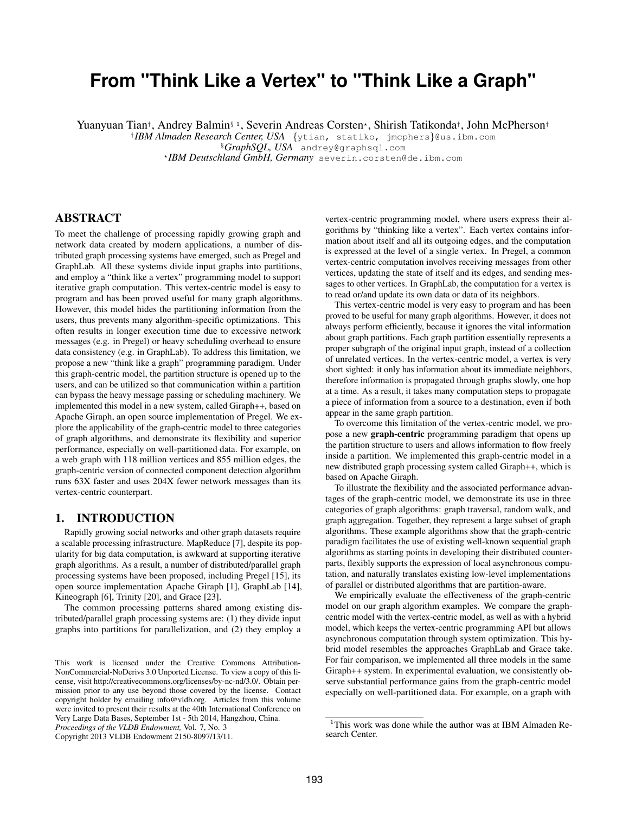# **From "Think Like a Vertex" to "Think Like a Graph"**

Yuanyuan Tian<sup>†</sup>, Andrey Balmin<sup>§ 1</sup>, Severin Andreas Corsten\*, Shirish Tatikonda†, John McPherson†

† *IBM Almaden Research Center, USA* {ytian, statiko, jmcphers}@us.ibm.com

§*GraphSQL, USA* andrey@graphsql.com

?*IBM Deutschland GmbH, Germany* severin.corsten@de.ibm.com

## ABSTRACT

To meet the challenge of processing rapidly growing graph and network data created by modern applications, a number of distributed graph processing systems have emerged, such as Pregel and GraphLab. All these systems divide input graphs into partitions, and employ a "think like a vertex" programming model to support iterative graph computation. This vertex-centric model is easy to program and has been proved useful for many graph algorithms. However, this model hides the partitioning information from the users, thus prevents many algorithm-specific optimizations. This often results in longer execution time due to excessive network messages (e.g. in Pregel) or heavy scheduling overhead to ensure data consistency (e.g. in GraphLab). To address this limitation, we propose a new "think like a graph" programming paradigm. Under this graph-centric model, the partition structure is opened up to the users, and can be utilized so that communication within a partition can bypass the heavy message passing or scheduling machinery. We implemented this model in a new system, called Giraph++, based on Apache Giraph, an open source implementation of Pregel. We explore the applicability of the graph-centric model to three categories of graph algorithms, and demonstrate its flexibility and superior performance, especially on well-partitioned data. For example, on a web graph with 118 million vertices and 855 million edges, the graph-centric version of connected component detection algorithm runs 63X faster and uses 204X fewer network messages than its vertex-centric counterpart.

## 1. INTRODUCTION

Rapidly growing social networks and other graph datasets require a scalable processing infrastructure. MapReduce [7], despite its popularity for big data computation, is awkward at supporting iterative graph algorithms. As a result, a number of distributed/parallel graph processing systems have been proposed, including Pregel [15], its open source implementation Apache Giraph [1], GraphLab [14], Kineograph [6], Trinity [20], and Grace [23].

The common processing patterns shared among existing distributed/parallel graph processing systems are: (1) they divide input graphs into partitions for parallelization, and (2) they employ a

vertex-centric programming model, where users express their algorithms by "thinking like a vertex". Each vertex contains information about itself and all its outgoing edges, and the computation is expressed at the level of a single vertex. In Pregel, a common vertex-centric computation involves receiving messages from other vertices, updating the state of itself and its edges, and sending messages to other vertices. In GraphLab, the computation for a vertex is to read or/and update its own data or data of its neighbors.

This vertex-centric model is very easy to program and has been proved to be useful for many graph algorithms. However, it does not always perform efficiently, because it ignores the vital information about graph partitions. Each graph partition essentially represents a proper subgraph of the original input graph, instead of a collection of unrelated vertices. In the vertex-centric model, a vertex is very short sighted: it only has information about its immediate neighbors, therefore information is propagated through graphs slowly, one hop at a time. As a result, it takes many computation steps to propagate a piece of information from a source to a destination, even if both appear in the same graph partition.

To overcome this limitation of the vertex-centric model, we propose a new graph-centric programming paradigm that opens up the partition structure to users and allows information to flow freely inside a partition. We implemented this graph-centric model in a new distributed graph processing system called Giraph++, which is based on Apache Giraph.

To illustrate the flexibility and the associated performance advantages of the graph-centric model, we demonstrate its use in three categories of graph algorithms: graph traversal, random walk, and graph aggregation. Together, they represent a large subset of graph algorithms. These example algorithms show that the graph-centric paradigm facilitates the use of existing well-known sequential graph algorithms as starting points in developing their distributed counterparts, flexibly supports the expression of local asynchronous computation, and naturally translates existing low-level implementations of parallel or distributed algorithms that are partition-aware.

We empirically evaluate the effectiveness of the graph-centric model on our graph algorithm examples. We compare the graphcentric model with the vertex-centric model, as well as with a hybrid model, which keeps the vertex-centric programming API but allows asynchronous computation through system optimization. This hybrid model resembles the approaches GraphLab and Grace take. For fair comparison, we implemented all three models in the same Giraph++ system. In experimental evaluation, we consistently observe substantial performance gains from the graph-centric model especially on well-partitioned data. For example, on a graph with

This work is licensed under the Creative Commons Attribution-NonCommercial-NoDerivs 3.0 Unported License. To view a copy of this license, visit http://creativecommons.org/licenses/by-nc-nd/3.0/. Obtain permission prior to any use beyond those covered by the license. Contact copyright holder by emailing info@vldb.org. Articles from this volume were invited to present their results at the 40th International Conference on Very Large Data Bases, September 1st - 5th 2014, Hangzhou, China.

*Proceedings of the VLDB Endowment,* Vol. 7, No. 3

Copyright 2013 VLDB Endowment 2150-8097/13/11.

 $1$ This work was done while the author was at IBM Almaden Research Center.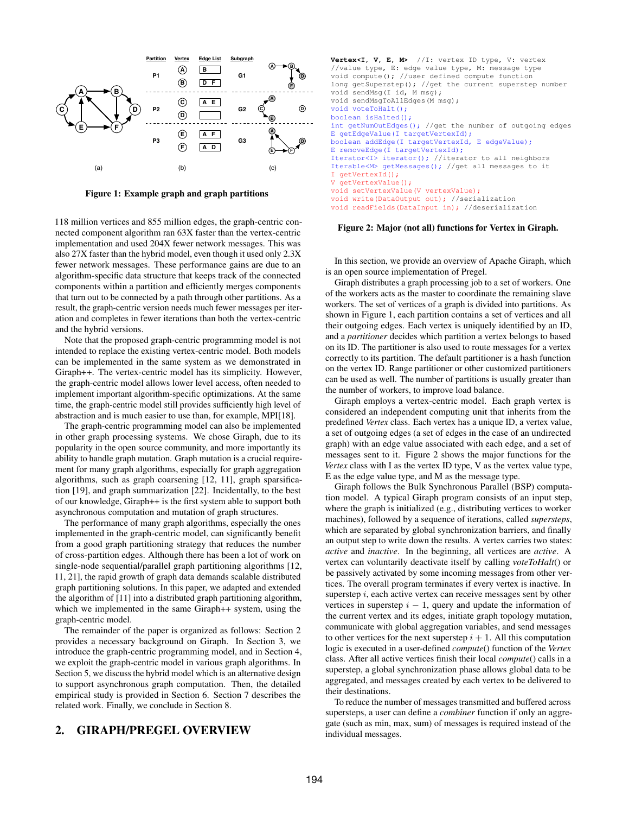

Figure 1: Example graph and graph partitions

118 million vertices and 855 million edges, the graph-centric connected component algorithm ran 63X faster than the vertex-centric implementation and used 204X fewer network messages. This was also 27X faster than the hybrid model, even though it used only 2.3X fewer network messages. These performance gains are due to an algorithm-specific data structure that keeps track of the connected components within a partition and efficiently merges components that turn out to be connected by a path through other partitions. As a result, the graph-centric version needs much fewer messages per iteration and completes in fewer iterations than both the vertex-centric and the hybrid versions.

Note that the proposed graph-centric programming model is not intended to replace the existing vertex-centric model. Both models can be implemented in the same system as we demonstrated in Giraph++. The vertex-centric model has its simplicity. However, the graph-centric model allows lower level access, often needed to implement important algorithm-specific optimizations. At the same time, the graph-centric model still provides sufficiently high level of abstraction and is much easier to use than, for example, MPI[18].

The graph-centric programming model can also be implemented in other graph processing systems. We chose Giraph, due to its popularity in the open source community, and more importantly its ability to handle graph mutation. Graph mutation is a crucial requirement for many graph algorithms, especially for graph aggregation algorithms, such as graph coarsening [12, 11], graph sparsification [19], and graph summarization [22]. Incidentally, to the best of our knowledge, Giraph++ is the first system able to support both asynchronous computation and mutation of graph structures.

The performance of many graph algorithms, especially the ones implemented in the graph-centric model, can significantly benefit from a good graph partitioning strategy that reduces the number of cross-partition edges. Although there has been a lot of work on single-node sequential/parallel graph partitioning algorithms [12, 11, 21], the rapid growth of graph data demands scalable distributed graph partitioning solutions. In this paper, we adapted and extended the algorithm of [11] into a distributed graph partitioning algorithm, which we implemented in the same Giraph++ system, using the graph-centric model.

The remainder of the paper is organized as follows: Section 2 provides a necessary background on Giraph. In Section 3, we introduce the graph-centric programming model, and in Section 4, we exploit the graph-centric model in various graph algorithms. In Section 5, we discuss the hybrid model which is an alternative design to support asynchronous graph computation. Then, the detailed empirical study is provided in Section 6. Section 7 describes the related work. Finally, we conclude in Section 8.

## 2. GIRAPH/PREGEL OVERVIEW

```
Vertex<I, V, E, M> //I: vertex ID type, V: vertex
//value type, E: edge value type, M: message type
void compute(); //user defined compute function
long getSuperstep(); //get the current superstep number
void sendMsq(I id, M msq);
void sendMsgToAllEdges(M msg);
void voteToHalt();
boolean isHalted();
int getNumOutEdges(); //get the number of outgoing edges
E getEdgeValue(I targetVertexId) :
boolean addEdge(I targetVertexId, E edgeValue);
E removeEdge(I targetVertexId);
Iterator<I> iterator(); //iterator to all neighbors
Iterable<M> getMessages(); //get all messages to it
I getVertexId();
V getVertexValue();
void setVertexValue(V vertexValue);
void write(DataOutput out); //serialization
void readFields(DataInput in); //deserialization
```
#### Figure 2: Major (not all) functions for Vertex in Giraph.

In this section, we provide an overview of Apache Giraph, which is an open source implementation of Pregel.

Giraph distributes a graph processing job to a set of workers. One of the workers acts as the master to coordinate the remaining slave workers. The set of vertices of a graph is divided into partitions. As shown in Figure 1, each partition contains a set of vertices and all their outgoing edges. Each vertex is uniquely identified by an ID, and a *partitioner* decides which partition a vertex belongs to based on its ID. The partitioner is also used to route messages for a vertex correctly to its partition. The default partitioner is a hash function on the vertex ID. Range partitioner or other customized partitioners can be used as well. The number of partitions is usually greater than the number of workers, to improve load balance.

Giraph employs a vertex-centric model. Each graph vertex is considered an independent computing unit that inherits from the predefined *Vertex* class. Each vertex has a unique ID, a vertex value, a set of outgoing edges (a set of edges in the case of an undirected graph) with an edge value associated with each edge, and a set of messages sent to it. Figure 2 shows the major functions for the *Vertex* class with I as the vertex ID type, V as the vertex value type, E as the edge value type, and M as the message type.

Giraph follows the Bulk Synchronous Parallel (BSP) computation model. A typical Giraph program consists of an input step, where the graph is initialized (e.g., distributing vertices to worker machines), followed by a sequence of iterations, called *supersteps*, which are separated by global synchronization barriers, and finally an output step to write down the results. A vertex carries two states: *active* and *inactive*. In the beginning, all vertices are *active*. A vertex can voluntarily deactivate itself by calling *voteToHalt*() or be passively activated by some incoming messages from other vertices. The overall program terminates if every vertex is inactive. In superstep  $i$ , each active vertex can receive messages sent by other vertices in superstep  $i - 1$ , query and update the information of the current vertex and its edges, initiate graph topology mutation, communicate with global aggregation variables, and send messages to other vertices for the next superstep  $i + 1$ . All this computation logic is executed in a user-defined *compute*() function of the *Vertex* class. After all active vertices finish their local *compute*() calls in a superstep, a global synchronization phase allows global data to be aggregated, and messages created by each vertex to be delivered to their destinations.

To reduce the number of messages transmitted and buffered across supersteps, a user can define a *combiner* function if only an aggregate (such as min, max, sum) of messages is required instead of the individual messages.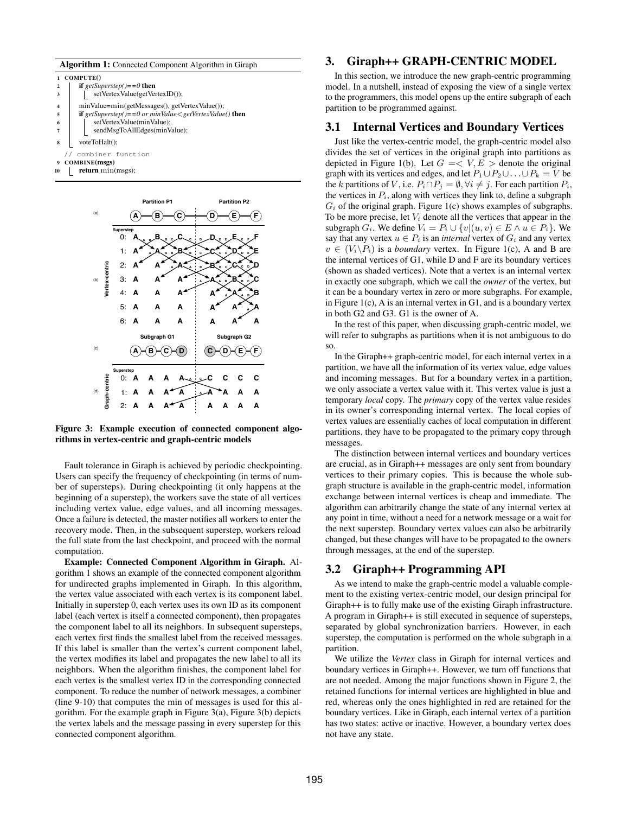#### Algorithm 1: Connected Component Algorithm in Giraph

1 COMPUTE() 2 if *getSuperstep()==0* then 3 | setVertexValue(getVertexID()); minValue=min(getMessages(), getVertexValue()); 5 if *getSuperstep()==0 or minValue*<*getVertexValue()* then 6 | setVertexValue(minValue); 7 | sendMsgToAllEdges(minValue); 8 voteToHalt(); combiner function COMBINE(msgs) 10 | **return** min(msgs);



Figure 3: Example execution of connected component algorithms in vertex-centric and graph-centric models

Fault tolerance in Giraph is achieved by periodic checkpointing. Users can specify the frequency of checkpointing (in terms of number of supersteps). During checkpointing (it only happens at the beginning of a superstep), the workers save the state of all vertices including vertex value, edge values, and all incoming messages. Once a failure is detected, the master notifies all workers to enter the recovery mode. Then, in the subsequent superstep, workers reload the full state from the last checkpoint, and proceed with the normal computation.

Example: Connected Component Algorithm in Giraph. Algorithm 1 shows an example of the connected component algorithm for undirected graphs implemented in Giraph. In this algorithm, the vertex value associated with each vertex is its component label. Initially in superstep 0, each vertex uses its own ID as its component label (each vertex is itself a connected component), then propagates the component label to all its neighbors. In subsequent supersteps, each vertex first finds the smallest label from the received messages. If this label is smaller than the vertex's current component label, the vertex modifies its label and propagates the new label to all its neighbors. When the algorithm finishes, the component label for each vertex is the smallest vertex ID in the corresponding connected component. To reduce the number of network messages, a combiner (line 9-10) that computes the min of messages is used for this algorithm. For the example graph in Figure 3(a), Figure 3(b) depicts the vertex labels and the message passing in every superstep for this connected component algorithm.

## 3. Giraph++ GRAPH-CENTRIC MODEL

In this section, we introduce the new graph-centric programming model. In a nutshell, instead of exposing the view of a single vertex to the programmers, this model opens up the entire subgraph of each partition to be programmed against.

## 3.1 Internal Vertices and Boundary Vertices

Just like the vertex-centric model, the graph-centric model also divides the set of vertices in the original graph into partitions as depicted in Figure 1(b). Let  $G = \langle V, E \rangle$  denote the original graph with its vertices and edges, and let  $P_1 \cup P_2 \cup \ldots \cup P_k = V$  be the k partitions of V, i.e.  $P_i \cap P_j = \emptyset$ ,  $\forall i \neq j$ . For each partition  $P_i$ , the vertices in  $P_i$ , along with vertices they link to, define a subgraph  $G_i$  of the original graph. Figure 1(c) shows examples of subgraphs. To be more precise, let  $V_i$  denote all the vertices that appear in the subgraph  $G_i$ . We define  $V_i = P_i \cup \{v | (u, v) \in E \land u \in P_i\}$ . We say that any vertex  $u \in P_i$  is an *internal* vertex of  $G_i$  and any vertex  $v \in (V_i \backslash P_i)$  is a *boundary* vertex. In Figure 1(c), A and B are the internal vertices of G1, while D and F are its boundary vertices (shown as shaded vertices). Note that a vertex is an internal vertex in exactly one subgraph, which we call the *owner* of the vertex, but it can be a boundary vertex in zero or more subgraphs. For example, in Figure  $1(c)$ , A is an internal vertex in G1, and is a boundary vertex in both G2 and G3. G1 is the owner of A.

In the rest of this paper, when discussing graph-centric model, we will refer to subgraphs as partitions when it is not ambiguous to do so.

In the Giraph++ graph-centric model, for each internal vertex in a partition, we have all the information of its vertex value, edge values and incoming messages. But for a boundary vertex in a partition, we only associate a vertex value with it. This vertex value is just a temporary *local* copy. The *primary* copy of the vertex value resides in its owner's corresponding internal vertex. The local copies of vertex values are essentially caches of local computation in different partitions, they have to be propagated to the primary copy through messages.

The distinction between internal vertices and boundary vertices are crucial, as in Giraph++ messages are only sent from boundary vertices to their primary copies. This is because the whole subgraph structure is available in the graph-centric model, information exchange between internal vertices is cheap and immediate. The algorithm can arbitrarily change the state of any internal vertex at any point in time, without a need for a network message or a wait for the next superstep. Boundary vertex values can also be arbitrarily changed, but these changes will have to be propagated to the owners through messages, at the end of the superstep.

## 3.2 Giraph++ Programming API

As we intend to make the graph-centric model a valuable complement to the existing vertex-centric model, our design principal for Giraph++ is to fully make use of the existing Giraph infrastructure. A program in Giraph++ is still executed in sequence of supersteps, separated by global synchronization barriers. However, in each superstep, the computation is performed on the whole subgraph in a partition.

We utilize the *Vertex* class in Giraph for internal vertices and boundary vertices in Giraph++. However, we turn off functions that are not needed. Among the major functions shown in Figure 2, the retained functions for internal vertices are highlighted in blue and red, whereas only the ones highlighted in red are retained for the boundary vertices. Like in Giraph, each internal vertex of a partition has two states: active or inactive. However, a boundary vertex does not have any state.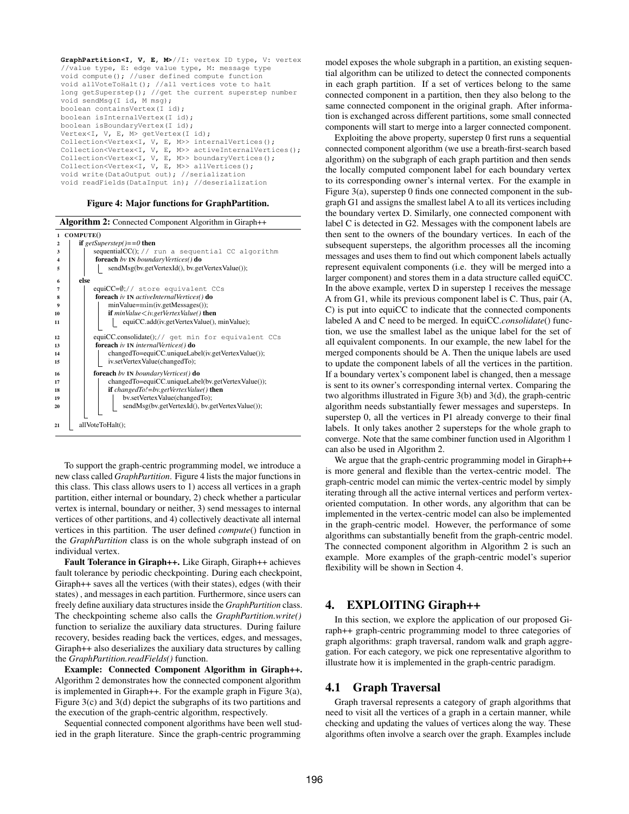```
GraphPartition<I, V, E, M>//I: vertex ID type, V: vertex
//value type, E: edge value type, M: message type
void compute(); //user defined compute function
void allVoteToHalt(); //all vertices vote to halt
long getSuperstep(); //get the current superstep number
void sendMsg(I id, M msg);
boolean containsVertex(I id);
boolean isInternalVertex(I id);
boolean isBoundaryVertex(I id);
Vertex<I, V, E, M> getVertex(I id);
Collection<Vertex<I, V, E, M>> internalVertices();
Collection<Vertex<I, V, E, M>> activeInternalVertices();
Collection<Vertex<I, V, E, M>> boundaryVertices();
Collection<Vertex<I, V, E, M>> allVertices();
void write(DataOutput out); //serialization
void readFields(DataInput in); //deserialization
```
Figure 4: Major functions for GraphPartition.

 $Algec$ <sup>14</sup>

|                | <b>Algorithm 2:</b> Connected Component Algorithm in Giraph++ |
|----------------|---------------------------------------------------------------|
| $\mathbf{1}$   | COMPUTE()                                                     |
| $\mathbf{2}$   | if getSuperstep()==0 then                                     |
| 3              | sequential $CC()$ ; // run a sequential $CC$ algorithm        |
| $\overline{4}$ | foreach by IN boundaryVertices() do                           |
| 5              | sendMsg(bv.getVertexId(), bv.getVertexValue());               |
| 6              | else                                                          |
| $\overline{7}$ | equiCC= $\emptyset$ ;// store equivalent CCs                  |
| 8              | foreach iv IN activeInternalVertices() do                     |
| 9              | minValue=min(iv.getMessages());                               |
| 10             | <b>if</b> $minValue \leq iv.getVertexValue()$ then            |
| 11             | equiCC.add(iv.getVertexValue(), minValue);                    |
| 12             | equiCC.consolidate();// get min for equivalent CCs            |
| 13             | foreach iv IN internal Vertices() do                          |
| 14             | changedTo=equiCC.uniqueLabel(iv.getVertexValue());            |
| 15             | iv.setVertexValue(changedTo);                                 |
| 16             | foreach by IN boundaryVertices() do                           |
| 17             | changedTo=equiCC.uniqueLabel(bv.getVertexValue());            |
| 18             | <b>if</b> changed To!=by.get Vertex Value() <b>then</b>       |
| 19             | bv.setVertexValue(changedTo);                                 |
| 20             | sendMsg(bv.getVertexId(), bv.getVertexValue());               |
|                |                                                               |
| 21             | allVoteToHalt();                                              |

To support the graph-centric programming model, we introduce a new class called *GraphPartition*. Figure 4 lists the major functions in this class. This class allows users to 1) access all vertices in a graph partition, either internal or boundary, 2) check whether a particular vertex is internal, boundary or neither, 3) send messages to internal vertices of other partitions, and 4) collectively deactivate all internal vertices in this partition. The user defined *compute*() function in the *GraphPartition* class is on the whole subgraph instead of on individual vertex.

Fault Tolerance in Giraph++. Like Giraph, Giraph++ achieves fault tolerance by periodic checkpointing. During each checkpoint, Giraph++ saves all the vertices (with their states), edges (with their states) , and messages in each partition. Furthermore, since users can freely define auxiliary data structures inside the *GraphPartition* class. The checkpointing scheme also calls the *GraphPartition.write()* function to serialize the auxiliary data structures. During failure recovery, besides reading back the vertices, edges, and messages, Giraph++ also deserializes the auxiliary data structures by calling the *GraphPartition.readFields()* function.

Example: Connected Component Algorithm in Giraph++. Algorithm 2 demonstrates how the connected component algorithm is implemented in Giraph++. For the example graph in Figure 3(a), Figure 3(c) and 3(d) depict the subgraphs of its two partitions and the execution of the graph-centric algorithm, respectively.

Sequential connected component algorithms have been well studied in the graph literature. Since the graph-centric programming model exposes the whole subgraph in a partition, an existing sequential algorithm can be utilized to detect the connected components in each graph partition. If a set of vertices belong to the same connected component in a partition, then they also belong to the same connected component in the original graph. After information is exchanged across different partitions, some small connected components will start to merge into a larger connected component.

Exploiting the above property, superstep 0 first runs a sequential connected component algorithm (we use a breath-first-search based algorithm) on the subgraph of each graph partition and then sends the locally computed component label for each boundary vertex to its corresponding owner's internal vertex. For the example in Figure 3(a), superstep 0 finds one connected component in the subgraph G1 and assigns the smallest label A to all its vertices including the boundary vertex D. Similarly, one connected component with label C is detected in G2. Messages with the component labels are then sent to the owners of the boundary vertices. In each of the subsequent supersteps, the algorithm processes all the incoming messages and uses them to find out which component labels actually represent equivalent components (i.e. they will be merged into a larger component) and stores them in a data structure called equiCC. In the above example, vertex D in superstep 1 receives the message A from G1, while its previous component label is C. Thus, pair (A, C) is put into equiCC to indicate that the connected components labeled A and C need to be merged. In equiCC.*consolidate*() function, we use the smallest label as the unique label for the set of all equivalent components. In our example, the new label for the merged components should be A. Then the unique labels are used to update the component labels of all the vertices in the partition. If a boundary vertex's component label is changed, then a message is sent to its owner's corresponding internal vertex. Comparing the two algorithms illustrated in Figure 3(b) and 3(d), the graph-centric algorithm needs substantially fewer messages and supersteps. In superstep 0, all the vertices in P1 already converge to their final labels. It only takes another 2 supersteps for the whole graph to converge. Note that the same combiner function used in Algorithm 1 can also be used in Algorithm 2.

We argue that the graph-centric programming model in Giraph++ is more general and flexible than the vertex-centric model. The graph-centric model can mimic the vertex-centric model by simply iterating through all the active internal vertices and perform vertexoriented computation. In other words, any algorithm that can be implemented in the vertex-centric model can also be implemented in the graph-centric model. However, the performance of some algorithms can substantially benefit from the graph-centric model. The connected component algorithm in Algorithm 2 is such an example. More examples of the graph-centric model's superior flexibility will be shown in Section 4.

## 4. EXPLOITING Giraph++

In this section, we explore the application of our proposed Giraph++ graph-centric programming model to three categories of graph algorithms: graph traversal, random walk and graph aggregation. For each category, we pick one representative algorithm to illustrate how it is implemented in the graph-centric paradigm.

## 4.1 Graph Traversal

Graph traversal represents a category of graph algorithms that need to visit all the vertices of a graph in a certain manner, while checking and updating the values of vertices along the way. These algorithms often involve a search over the graph. Examples include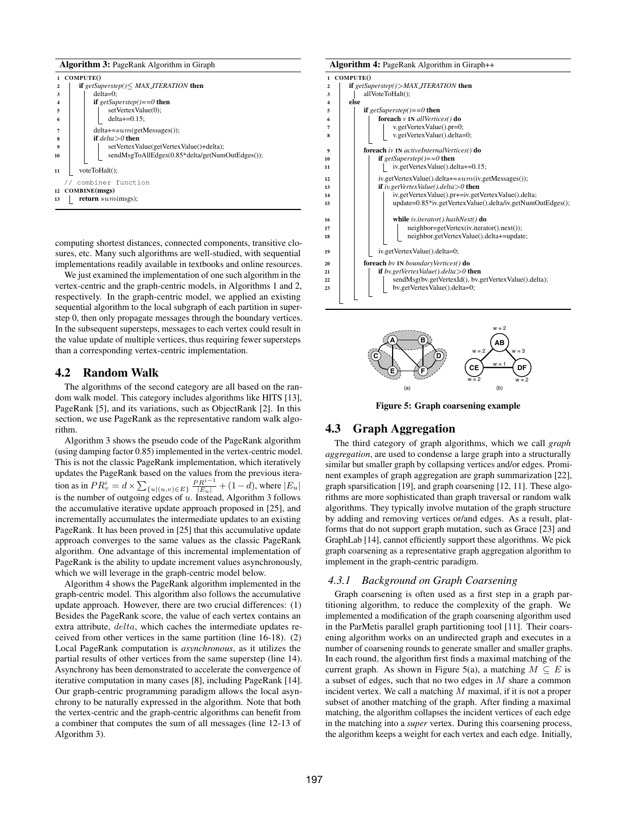#### Algorithm 3: PageRank Algorithm in Giraph

|                     | COMPUTE()                                                 |
|---------------------|-----------------------------------------------------------|
| $\mathbf{2}$        | <b>if</b> getSuperstep() $\leq$ MAX_ITERATION <b>then</b> |
| 3                   | $delta=0$ :                                               |
| $\overline{\bf{4}}$ | <b>if</b> getSuperstep()==0 <b>then</b>                   |
| 5                   | setVertexValue(0);                                        |
| 6                   | $delta+=0.15$ :                                           |
| $\overline{7}$      | $delta+=sum(getMessages))$ ;                              |
| 8                   | if $delta > 0$ then                                       |
| $\mathbf Q$         | setVertexValue(getVertexValue()+delta);                   |
| 10                  | sendMsgToAllEdges(0.85*delta/getNumOutEdges());           |
| 11                  | voteToHalt();                                             |
|                     | combiner function                                         |
| 12                  | COMBINE(msgs)                                             |
| 13                  | return $sum(msgs)$ ;                                      |

computing shortest distances, connected components, transitive closures, etc. Many such algorithms are well-studied, with sequential implementations readily available in textbooks and online resources.

We just examined the implementation of one such algorithm in the vertex-centric and the graph-centric models, in Algorithms 1 and 2, respectively. In the graph-centric model, we applied an existing sequential algorithm to the local subgraph of each partition in superstep 0, then only propagate messages through the boundary vertices. In the subsequent supersteps, messages to each vertex could result in the value update of multiple vertices, thus requiring fewer supersteps than a corresponding vertex-centric implementation.

## 4.2 Random Walk

The algorithms of the second category are all based on the random walk model. This category includes algorithms like HITS [13], PageRank [5], and its variations, such as ObjectRank [2]. In this section, we use PageRank as the representative random walk algorithm.

Algorithm 3 shows the pseudo code of the PageRank algorithm (using damping factor 0.85) implemented in the vertex-centric model. This is not the classic PageRank implementation, which iteratively updates the PageRank based on the values from the previous iteration as in  $PR_v^i = d \times \sum_{\{u | (u,v) \in E\}} \frac{PR^{i-1}}{|E_u|} + (1-d)$ , where  $|E_u|$ is the number of outgoing edges of  $u$ . Instead, Algorithm 3 follows the accumulative iterative update approach proposed in [25], and incrementally accumulates the intermediate updates to an existing PageRank. It has been proved in [25] that this accumulative update approach converges to the same values as the classic PageRank algorithm. One advantage of this incremental implementation of PageRank is the ability to update increment values asynchronously, which we will leverage in the graph-centric model below.

Algorithm 4 shows the PageRank algorithm implemented in the graph-centric model. This algorithm also follows the accumulative update approach. However, there are two crucial differences: (1) Besides the PageRank score, the value of each vertex contains an extra attribute, *delta*, which caches the intermediate updates received from other vertices in the same partition (line 16-18). (2) Local PageRank computation is *asynchronous*, as it utilizes the partial results of other vertices from the same superstep (line 14). Asynchrony has been demonstrated to accelerate the convergence of iterative computation in many cases [8], including PageRank [14]. Our graph-centric programming paradigm allows the local asynchrony to be naturally expressed in the algorithm. Note that both the vertex-centric and the graph-centric algorithms can benefit from a combiner that computes the sum of all messages (line 12-13 of Algorithm 3).

## Algorithm 4: PageRank Algorithm in Giraph++ 1 COMPUTE() 2 if *getSuperstep()*>*MAX ITERATION* then 3 allVoteToHalt(); 4 else 5 if *getSuperstep()==0* then 6 foreach *v* IN *allVertices()* do 7 | | | v.getVertexValue().pr=0; 8 v.getVertexValue().delta=0; 9 foreach *iv* IN *activeInternalVertices()* do 10 **if** getSuperstep()==0 **then**<br>iv.getVertexValue().de iv.getVertexValue().delta+=0.15; 12 iv.getVertexValue().delta+= $sum(iv.getMessages))$ ;<br>
if  $iv.getVertexValue()$ .delta>0 **then** 13 if *iv.getVertexValue().delta*>*0* then 14 | | iv.getVertexValue().pr+=iv.getVertexValue().delta; 15 | pdate=0.85\*iv.getVertexValue().delta/iv.getNumOutEdges(); 16 while *iv.iterator().hashNext()* do 17 | | | | | neighbor=getVertex(iv.iterator().next()); 18 neighbor.getVertexValue().delta+=update; 19 iv.getVertexValue().delta=0; 20 **foreach** *bv* IN *boundaryVertices()* **do**<br>21 **if** *bv*, getVertexValue(), delta > 0 **t** 21 if *bv.getVertexValue().delta*>*0* then 22 sendMsg(bv.getVertexId(), bv.getVertexValue().delta);<br>
bv.getVertexValue().delta=0; bv.getVertexValue().delta=0;



Figure 5: Graph coarsening example

## 4.3 Graph Aggregation

The third category of graph algorithms, which we call *graph aggregation*, are used to condense a large graph into a structurally similar but smaller graph by collapsing vertices and/or edges. Prominent examples of graph aggregation are graph summarization [22], graph sparsification [19], and graph coarsening [12, 11]. These algorithms are more sophisticated than graph traversal or random walk algorithms. They typically involve mutation of the graph structure by adding and removing vertices or/and edges. As a result, platforms that do not support graph mutation, such as Grace [23] and GraphLab [14], cannot efficiently support these algorithms. We pick graph coarsening as a representative graph aggregation algorithm to implement in the graph-centric paradigm.

## *4.3.1 Background on Graph Coarsening*

Graph coarsening is often used as a first step in a graph partitioning algorithm, to reduce the complexity of the graph. We implemented a modification of the graph coarsening algorithm used in the ParMetis parallel graph partitioning tool [11]. Their coarsening algorithm works on an undirected graph and executes in a number of coarsening rounds to generate smaller and smaller graphs. In each round, the algorithm first finds a maximal matching of the current graph. As shown in Figure 5(a), a matching  $M \subseteq E$  is a subset of edges, such that no two edges in  $M$  share a common incident vertex. We call a matching  $M$  maximal, if it is not a proper subset of another matching of the graph. After finding a maximal matching, the algorithm collapses the incident vertices of each edge in the matching into a *super* vertex. During this coarsening process, the algorithm keeps a weight for each vertex and each edge. Initially,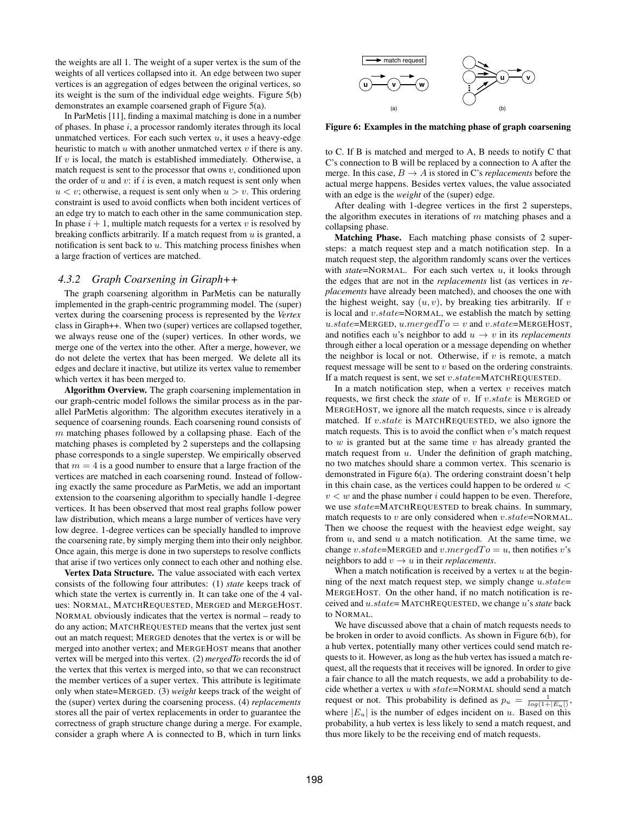the weights are all 1. The weight of a super vertex is the sum of the weights of all vertices collapsed into it. An edge between two super vertices is an aggregation of edges between the original vertices, so its weight is the sum of the individual edge weights. Figure 5(b) demonstrates an example coarsened graph of Figure 5(a).

In ParMetis [11], finding a maximal matching is done in a number of phases. In phase  $i$ , a processor randomly iterates through its local unmatched vertices. For each such vertex  $u$ , it uses a heavy-edge heuristic to match  $u$  with another unmatched vertex  $v$  if there is any. If  $v$  is local, the match is established immediately. Otherwise, a match request is sent to the processor that owns  $v$ , conditioned upon the order of  $u$  and  $v$ : if  $i$  is even, a match request is sent only when  $u < v$ ; otherwise, a request is sent only when  $u > v$ . This ordering constraint is used to avoid conflicts when both incident vertices of an edge try to match to each other in the same communication step. In phase  $i + 1$ , multiple match requests for a vertex v is resolved by breaking conflicts arbitrarily. If a match request from  $u$  is granted, a notification is sent back to  $u$ . This matching process finishes when a large fraction of vertices are matched.

## *4.3.2 Graph Coarsening in Giraph++*

The graph coarsening algorithm in ParMetis can be naturally implemented in the graph-centric programming model. The (super) vertex during the coarsening process is represented by the *Vertex* class in Giraph++. When two (super) vertices are collapsed together, we always reuse one of the (super) vertices. In other words, we merge one of the vertex into the other. After a merge, however, we do not delete the vertex that has been merged. We delete all its edges and declare it inactive, but utilize its vertex value to remember which vertex it has been merged to.

Algorithm Overview. The graph coarsening implementation in our graph-centric model follows the similar process as in the parallel ParMetis algorithm: The algorithm executes iteratively in a sequence of coarsening rounds. Each coarsening round consists of  $m$  matching phases followed by a collapsing phase. Each of the matching phases is completed by 2 supersteps and the collapsing phase corresponds to a single superstep. We empirically observed that  $m = 4$  is a good number to ensure that a large fraction of the vertices are matched in each coarsening round. Instead of following exactly the same procedure as ParMetis, we add an important extension to the coarsening algorithm to specially handle 1-degree vertices. It has been observed that most real graphs follow power law distribution, which means a large number of vertices have very low degree. 1-degree vertices can be specially handled to improve the coarsening rate, by simply merging them into their only neighbor. Once again, this merge is done in two supersteps to resolve conflicts that arise if two vertices only connect to each other and nothing else.

Vertex Data Structure. The value associated with each vertex consists of the following four attributes: (1) *state* keeps track of which state the vertex is currently in. It can take one of the 4 values: NORMAL, MATCHREQUESTED, MERGED and MERGEHOST. NORMAL obviously indicates that the vertex is normal – ready to do any action; MATCHREQUESTED means that the vertex just sent out an match request; MERGED denotes that the vertex is or will be merged into another vertex; and MERGEHOST means that another vertex will be merged into this vertex. (2) *mergedTo* records the id of the vertex that this vertex is merged into, so that we can reconstruct the member vertices of a super vertex. This attribute is legitimate only when state=MERGED. (3) *weight* keeps track of the weight of the (super) vertex during the coarsening process. (4) *replacements* stores all the pair of vertex replacements in order to guarantee the correctness of graph structure change during a merge. For example, consider a graph where A is connected to B, which in turn links



Figure 6: Examples in the matching phase of graph coarsening

to C. If B is matched and merged to A, B needs to notify C that C's connection to B will be replaced by a connection to A after the merge. In this case,  $B \to A$  is stored in C's *replacements* before the actual merge happens. Besides vertex values, the value associated with an edge is the *weight* of the (super) edge.

After dealing with 1-degree vertices in the first 2 supersteps, the algorithm executes in iterations of  $m$  matching phases and a collapsing phase.

Matching Phase. Each matching phase consists of 2 supersteps: a match request step and a match notification step. In a match request step, the algorithm randomly scans over the vertices with *state*=NORMAL. For each such vertex u, it looks through the edges that are not in the *replacements* list (as vertices in *replacements* have already been matched), and chooses the one with the highest weight, say  $(u, v)$ , by breaking ties arbitrarily. If v is local and  $v.state = NORMAL$ , we establish the match by setting  $\emph{u.state} \verb!=\!\text{MERGED}, \emph{u}.\emph{merge} dTo = v \text{ and } v.\emph{state} \verb!=\!\text{MERGEHOST},$ and notifies each u's neighbor to add  $u \rightarrow v$  in its *replacements* through either a local operation or a message depending on whether the neighbor is local or not. Otherwise, if  $v$  is remote, a match request message will be sent to v based on the ordering constraints. If a match request is sent, we set  $v.state = \text{MATEH}$ REQUESTED.

In a match notification step, when a vertex  $v$  receives match requests, we first check the *state* of v. If v.state is MERGED or MERGEHOST, we ignore all the match requests, since  $v$  is already matched. If *v.state* is MATCHREQUESTED, we also ignore the match requests. This is to avoid the conflict when  $v$ 's match request to  $w$  is granted but at the same time  $v$  has already granted the match request from  $u$ . Under the definition of graph matching, no two matches should share a common vertex. This scenario is demonstrated in Figure 6(a). The ordering constraint doesn't help in this chain case, as the vertices could happen to be ordered  $u <$  $v < w$  and the phase number i could happen to be even. Therefore, we use state=MATCHREQUESTED to break chains. In summary, match requests to v are only considered when  $v.\text{state} = \text{NORMAL}$ . Then we choose the request with the heaviest edge weight, say from  $u$ , and send  $u$  a match notification. At the same time, we change v.state=MERGED and v.mergedT $o = u$ , then notifies v's neighbors to add  $v \rightarrow u$  in their *replacements*.

When a match notification is received by a vertex  $u$  at the beginning of the next match request step, we simply change  $u.state =$ MERGEHOST. On the other hand, if no match notification is received and u.state= MATCHREQUESTED, we change u's *state* back to NORMAL.

We have discussed above that a chain of match requests needs to be broken in order to avoid conflicts. As shown in Figure 6(b), for a hub vertex, potentially many other vertices could send match requests to it. However, as long as the hub vertex has issued a match request, all the requests that it receives will be ignored. In order to give a fair chance to all the match requests, we add a probability to decide whether a vertex  $u$  with  $state$ =NORMAL should send a match request or not. This probability is defined as  $p_u = \frac{1}{log(1+|E_u|)},$ where  $|E_u|$  is the number of edges incident on u. Based on this probability, a hub vertex is less likely to send a match request, and thus more likely to be the receiving end of match requests.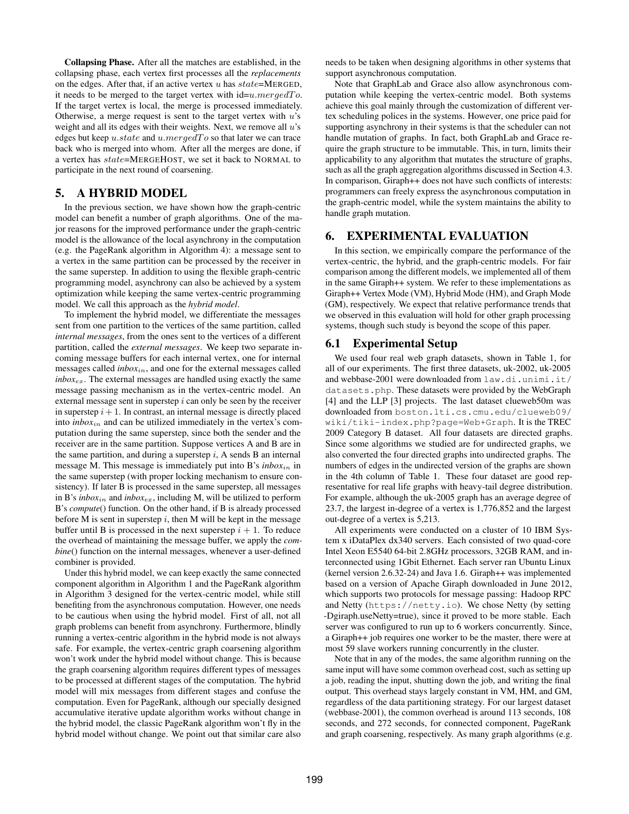Collapsing Phase. After all the matches are established, in the collapsing phase, each vertex first processes all the *replacements* on the edges. After that, if an active vertex  $u$  has  $state = MERGED$ , it needs to be merged to the target vertex with  $id=u.merqedTo$ . If the target vertex is local, the merge is processed immediately. Otherwise, a merge request is sent to the target vertex with  $u$ 's weight and all its edges with their weights. Next, we remove all  $u$ 's edges but keep  $u.state$  and  $u.mergedTo$  so that later we can trace back who is merged into whom. After all the merges are done, if a vertex has state=MERGEHOST, we set it back to NORMAL to participate in the next round of coarsening.

## 5. A HYBRID MODEL

In the previous section, we have shown how the graph-centric model can benefit a number of graph algorithms. One of the major reasons for the improved performance under the graph-centric model is the allowance of the local asynchrony in the computation (e.g. the PageRank algorithm in Algorithm 4): a message sent to a vertex in the same partition can be processed by the receiver in the same superstep. In addition to using the flexible graph-centric programming model, asynchrony can also be achieved by a system optimization while keeping the same vertex-centric programming model. We call this approach as the *hybrid model*.

To implement the hybrid model, we differentiate the messages sent from one partition to the vertices of the same partition, called *internal messages*, from the ones sent to the vertices of a different partition, called the *external messages*. We keep two separate incoming message buffers for each internal vertex, one for internal messages called  $inbox_{in}$ , and one for the external messages called *inbox*ex. The external messages are handled using exactly the same message passing mechanism as in the vertex-centric model. An external message sent in superstep  $i$  can only be seen by the receiver in superstep  $i + 1$ . In contrast, an internal message is directly placed into *inbox<sub>in</sub>* and can be utilized immediately in the vertex's computation during the same superstep, since both the sender and the receiver are in the same partition. Suppose vertices A and B are in the same partition, and during a superstep  $i$ , A sends B an internal message M. This message is immediately put into B's  $inbox_{in}$  in the same superstep (with proper locking mechanism to ensure consistency). If later B is processed in the same superstep, all messages in B's *inbox<sub>in</sub>* and *inbox<sub>ex</sub>*, including M, will be utilized to perform B's *compute*() function. On the other hand, if B is already processed before M is sent in superstep  $i$ , then M will be kept in the message buffer until B is processed in the next superstep  $i + 1$ . To reduce the overhead of maintaining the message buffer, we apply the *combine*() function on the internal messages, whenever a user-defined combiner is provided.

Under this hybrid model, we can keep exactly the same connected component algorithm in Algorithm 1 and the PageRank algorithm in Algorithm 3 designed for the vertex-centric model, while still benefiting from the asynchronous computation. However, one needs to be cautious when using the hybrid model. First of all, not all graph problems can benefit from asynchrony. Furthermore, blindly running a vertex-centric algorithm in the hybrid mode is not always safe. For example, the vertex-centric graph coarsening algorithm won't work under the hybrid model without change. This is because the graph coarsening algorithm requires different types of messages to be processed at different stages of the computation. The hybrid model will mix messages from different stages and confuse the computation. Even for PageRank, although our specially designed accumulative iterative update algorithm works without change in the hybrid model, the classic PageRank algorithm won't fly in the hybrid model without change. We point out that similar care also needs to be taken when designing algorithms in other systems that support asynchronous computation.

Note that GraphLab and Grace also allow asynchronous computation while keeping the vertex-centric model. Both systems achieve this goal mainly through the customization of different vertex scheduling polices in the systems. However, one price paid for supporting asynchrony in their systems is that the scheduler can not handle mutation of graphs. In fact, both GraphLab and Grace require the graph structure to be immutable. This, in turn, limits their applicability to any algorithm that mutates the structure of graphs, such as all the graph aggregation algorithms discussed in Section 4.3. In comparison, Giraph++ does not have such conflicts of interests: programmers can freely express the asynchronous computation in the graph-centric model, while the system maintains the ability to handle graph mutation.

## 6. EXPERIMENTAL EVALUATION

In this section, we empirically compare the performance of the vertex-centric, the hybrid, and the graph-centric models. For fair comparison among the different models, we implemented all of them in the same Giraph++ system. We refer to these implementations as Giraph++ Vertex Mode (VM), Hybrid Mode (HM), and Graph Mode (GM), respectively. We expect that relative performance trends that we observed in this evaluation will hold for other graph processing systems, though such study is beyond the scope of this paper.

## 6.1 Experimental Setup

We used four real web graph datasets, shown in Table 1, for all of our experiments. The first three datasets, uk-2002, uk-2005 and webbase-2001 were downloaded from law.di.unimi.it/ datasets.php. These datasets were provided by the WebGraph [4] and the LLP [3] projects. The last dataset clueweb50m was downloaded from boston.lti.cs.cmu.edu/clueweb09/ wiki/tiki-index.php?page=Web+Graph. It is the TREC 2009 Category B dataset. All four datasets are directed graphs. Since some algorithms we studied are for undirected graphs, we also converted the four directed graphs into undirected graphs. The numbers of edges in the undirected version of the graphs are shown in the 4th column of Table 1. These four dataset are good representative for real life graphs with heavy-tail degree distribution. For example, although the uk-2005 graph has an average degree of 23.7, the largest in-degree of a vertex is 1,776,852 and the largest out-degree of a vertex is 5,213.

All experiments were conducted on a cluster of 10 IBM System x iDataPlex dx340 servers. Each consisted of two quad-core Intel Xeon E5540 64-bit 2.8GHz processors, 32GB RAM, and interconnected using 1Gbit Ethernet. Each server ran Ubuntu Linux (kernel version 2.6.32-24) and Java 1.6. Giraph++ was implemented based on a version of Apache Giraph downloaded in June 2012, which supports two protocols for message passing: Hadoop RPC and Netty (https://netty.io). We chose Netty (by setting -Dgiraph.useNetty=true), since it proved to be more stable. Each server was configured to run up to 6 workers concurrently. Since, a Giraph++ job requires one worker to be the master, there were at most 59 slave workers running concurrently in the cluster.

Note that in any of the modes, the same algorithm running on the same input will have some common overhead cost, such as setting up a job, reading the input, shutting down the job, and writing the final output. This overhead stays largely constant in VM, HM, and GM, regardless of the data partitioning strategy. For our largest dataset (webbase-2001), the common overhead is around 113 seconds, 108 seconds, and 272 seconds, for connected component, PageRank and graph coarsening, respectively. As many graph algorithms (e.g.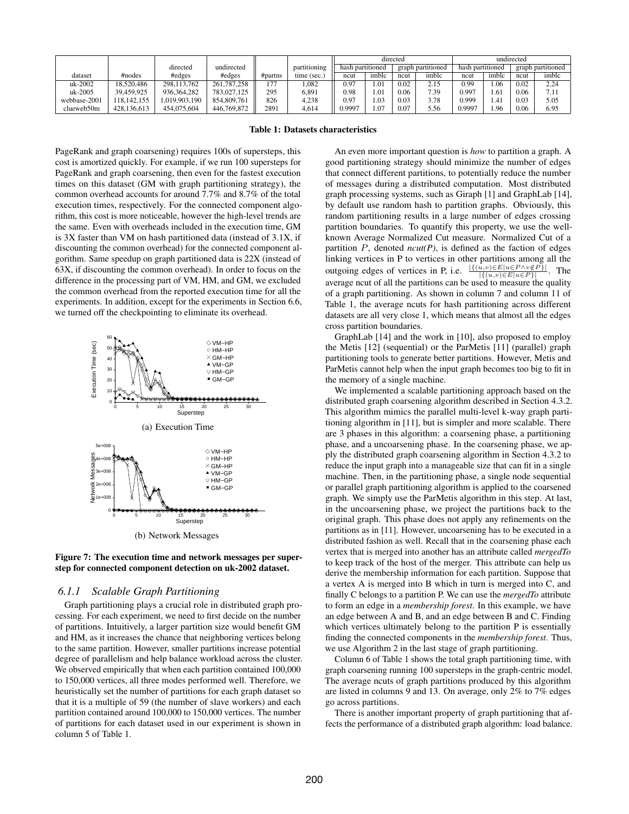|              |             |              |             |         |              | directed         |               |                   | undirected |                  |       |      |                   |
|--------------|-------------|--------------|-------------|---------|--------------|------------------|---------------|-------------------|------------|------------------|-------|------|-------------------|
|              |             | directed     | undirected  |         | partitioning | hash partitioned |               | graph partitioned |            | hash partitioned |       |      | graph partitioned |
| dataset      | #nodes      | #edges       | #edges      | #partns | time (sec.)  | ncut             | imblo         | ncut              | imblc      | ncut             | imblc | ncut | imblc             |
| uk-2002      | 18,520,486  | 298.113.762  | 261,787,258 | 177     | .082         | 0.97             | 1.01          | 0.02              | 2.15       | 0.99             | .06   | 0.02 | 2.24              |
| uk-2005      | 39.459.925  | 936.364.282  | 783,027,125 | 295     | 6,891        | 0.98             | $1.0^{\circ}$ | 0.06              | 7.39       | 0.997            | .61   | 0.06 | 7.11              |
| webbase-2001 | 118.142.155 | .019.903.190 | 854,809,761 | 826     | 4.238        | 0.97             | 1.03          | 0.03              | 3.78       | 0.999            | 1.41  | 0.03 | 5.05              |
| clueweb50m   | 428.136.613 | 454,075,604  | 446,769,872 | 2891    | 4.614        | 0.9997           | 1.07          | 0.07              | 5.56       | 0.9997           | .96   | 0.06 | 6.95              |

Table 1: Datasets characteristics

PageRank and graph coarsening) requires 100s of supersteps, this cost is amortized quickly. For example, if we run 100 supersteps for PageRank and graph coarsening, then even for the fastest execution times on this dataset (GM with graph partitioning strategy), the common overhead accounts for around 7.7% and 8.7% of the total execution times, respectively. For the connected component algorithm, this cost is more noticeable, however the high-level trends are the same. Even with overheads included in the execution time, GM is 3X faster than VM on hash partitioned data (instead of 3.1X, if discounting the common overhead) for the connected component algorithm. Same speedup on graph partitioned data is 22X (instead of 63X, if discounting the common overhead). In order to focus on the difference in the processing part of VM, HM, and GM, we excluded the common overhead from the reported execution time for all the experiments. In addition, except for the experiments in Section 6.6, we turned off the checkpointing to eliminate its overhead.





## *6.1.1 Scalable Graph Partitioning*

Graph partitioning plays a crucial role in distributed graph processing. For each experiment, we need to first decide on the number of partitions. Intuitively, a larger partition size would benefit GM and HM, as it increases the chance that neighboring vertices belong to the same partition. However, smaller partitions increase potential degree of parallelism and help balance workload across the cluster. We observed empirically that when each partition contained 100,000 to 150,000 vertices, all three modes performed well. Therefore, we heuristically set the number of partitions for each graph dataset so that it is a multiple of 59 (the number of slave workers) and each partition contained around 100,000 to 150,000 vertices. The number of partitions for each dataset used in our experiment is shown in column 5 of Table 1.

An even more important question is *how* to partition a graph. A good partitioning strategy should minimize the number of edges that connect different partitions, to potentially reduce the number of messages during a distributed computation. Most distributed graph processing systems, such as Giraph [1] and GraphLab [14], by default use random hash to partition graphs. Obviously, this random partitioning results in a large number of edges crossing partition boundaries. To quantify this property, we use the wellknown Average Normalized Cut measure. Normalized Cut of a partition  $P$ , denoted  $ncut(P)$ , is defined as the faction of edges linking vertices in P to vertices in other partitions among all the outgoing edges of vertices in P, i.e.  $\frac{|\{(u,v)\in E|u\in P \wedge v \notin P\}|}{|\{(u,v)\in E|u\in P\}|}$ . The outgoing eages of vertices in P, i.e.  $\frac{1}{\left[\{(u,v)\in E\mid u\in P\}\right]}$ . The average ncut of all the partitions can be used to measure the quality of a graph partitioning. As shown in column 7 and column 11 of Table 1, the average ncuts for hash partitioning across different datasets are all very close 1, which means that almost all the edges cross partition boundaries.

GraphLab [14] and the work in [10], also proposed to employ the Metis [12] (sequential) or the ParMetis [11] (parallel) graph partitioning tools to generate better partitions. However, Metis and ParMetis cannot help when the input graph becomes too big to fit in the memory of a single machine.

We implemented a scalable partitioning approach based on the distributed graph coarsening algorithm described in Section 4.3.2. This algorithm mimics the parallel multi-level k-way graph partitioning algorithm in [11], but is simpler and more scalable. There are 3 phases in this algorithm: a coarsening phase, a partitioning phase, and a uncoarsening phase. In the coarsening phase, we apply the distributed graph coarsening algorithm in Section 4.3.2 to reduce the input graph into a manageable size that can fit in a single machine. Then, in the partitioning phase, a single node sequential or parallel graph partitioning algorithm is applied to the coarsened graph. We simply use the ParMetis algorithm in this step. At last, in the uncoarsening phase, we project the partitions back to the original graph. This phase does not apply any refinements on the partitions as in [11]. However, uncoarsening has to be executed in a distributed fashion as well. Recall that in the coarsening phase each vertex that is merged into another has an attribute called *mergedTo* to keep track of the host of the merger. This attribute can help us derive the membership information for each partition. Suppose that a vertex A is merged into B which in turn is merged into C, and finally C belongs to a partition P. We can use the *mergedTo* attribute to form an edge in a *membership forest*. In this example, we have an edge between A and B, and an edge between B and C. Finding which vertices ultimately belong to the partition P is essentially finding the connected components in the *membership forest*. Thus, we use Algorithm 2 in the last stage of graph partitioning.

Column 6 of Table 1 shows the total graph partitioning time, with graph coarsening running 100 supersteps in the graph-centric model. The average ncuts of graph partitions produced by this algorithm are listed in columns 9 and 13. On average, only 2% to 7% edges go across partitions.

There is another important property of graph partitioning that affects the performance of a distributed graph algorithm: load balance.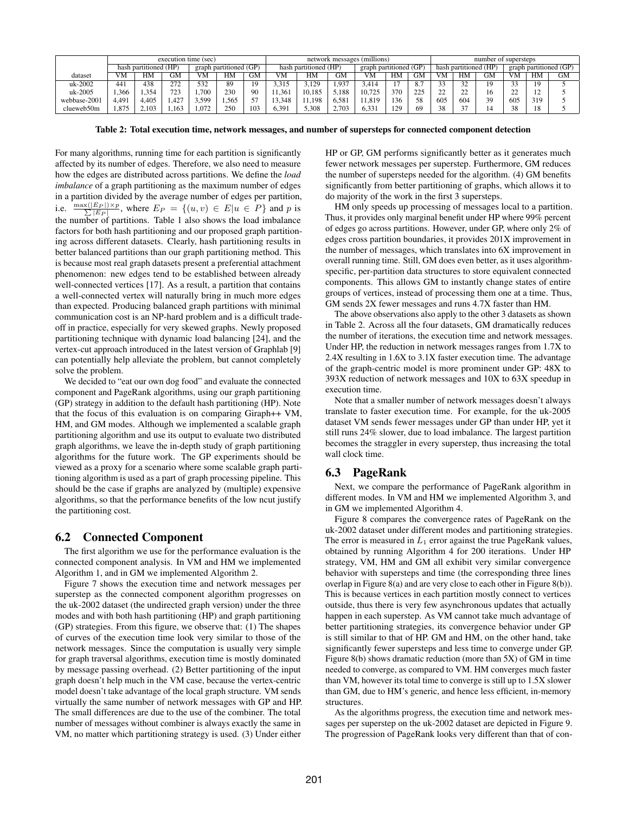|              | execution time (sec)  |       |      |                                     |      | network messages (millions) |        |                        |       |                       | number of supersteps |                                     |     |        |    |               |           |     |
|--------------|-----------------------|-------|------|-------------------------------------|------|-----------------------------|--------|------------------------|-------|-----------------------|----------------------|-------------------------------------|-----|--------|----|---------------|-----------|-----|
|              | hash partitioned (HP) |       |      | graph partitioned $\overline{(GP)}$ |      | hash partitioned (HP)       |        | graph partitioned (GP) |       | hash partitioned (HP) |                      | graph partitioned $\overline{(GP)}$ |     |        |    |               |           |     |
| dataset      | VМ                    | HM    | GМ   | 7M                                  | HM   | <b>GM</b>                   | VM     | HM                     | GM    | /M                    | HM                   | GМ                                  | VM  | HM     | GМ | VM            | <b>HM</b> | GN. |
| uk-2002      | 441                   | 438   | 272  | 532                                 | 89   | 19                          | 3.315  | 5.129                  | 1.937 | 414.ر                 |                      | $\circ$ 7<br>o.                     |     | 27     | 19 | 33            | 10        |     |
| uk-2005      | .366                  | .354  | 723  | .700                                | 230  | 90                          | 11.361 | 10.185                 | 5.188 | 10.725                | 370                  | 225                                 | . . | $\sim$ | 16 | $\sim$<br>. . |           |     |
| webbase-2001 | 4.491                 | 4.405 | .427 | 599                                 | .565 | J .                         | 3.348  | .198                   | 6.58  | 11.819                | 136                  | 58                                  | 605 | 604    | 39 | 605           | 319       |     |
| clueweb50m   | 1.875                 | .103  | .163 | 1.072                               | 250  | 103                         | 6.391  | 5.308                  | 2.703 | 6.331                 | 129                  | 69                                  |     | к.     |    | 38            |           |     |

Table 2: Total execution time, network messages, and number of supersteps for connected component detection

For many algorithms, running time for each partition is significantly affected by its number of edges. Therefore, we also need to measure how the edges are distributed across partitions. We define the *load imbalance* of a graph partitioning as the maximum number of edges in a partition divided by the average number of edges per partition, i.e.  $\frac{\max(|E_P|)\times p}{\sum |E_P|}$ , where  $E_P = \{(u, v) \in E | u \in P\}$  and p is the number of partitions. Table 1 also shows the load imbalance factors for both hash partitioning and our proposed graph partitioning across different datasets. Clearly, hash partitioning results in better balanced partitions than our graph partitioning method. This is because most real graph datasets present a preferential attachment phenomenon: new edges tend to be established between already well-connected vertices [17]. As a result, a partition that contains a well-connected vertex will naturally bring in much more edges than expected. Producing balanced graph partitions with minimal communication cost is an NP-hard problem and is a difficult tradeoff in practice, especially for very skewed graphs. Newly proposed partitioning technique with dynamic load balancing [24], and the vertex-cut approach introduced in the latest version of Graphlab [9] can potentially help alleviate the problem, but cannot completely solve the problem.

We decided to "eat our own dog food" and evaluate the connected component and PageRank algorithms, using our graph partitioning (GP) strategy in addition to the default hash partitioning (HP). Note that the focus of this evaluation is on comparing Giraph++ VM, HM, and GM modes. Although we implemented a scalable graph partitioning algorithm and use its output to evaluate two distributed graph algorithms, we leave the in-depth study of graph partitioning algorithms for the future work. The GP experiments should be viewed as a proxy for a scenario where some scalable graph partitioning algorithm is used as a part of graph processing pipeline. This should be the case if graphs are analyzed by (multiple) expensive algorithms, so that the performance benefits of the low ncut justify the partitioning cost.

## 6.2 Connected Component

The first algorithm we use for the performance evaluation is the connected component analysis. In VM and HM we implemented Algorithm 1, and in GM we implemented Algorithm 2.

Figure 7 shows the execution time and network messages per superstep as the connected component algorithm progresses on the uk-2002 dataset (the undirected graph version) under the three modes and with both hash partitioning (HP) and graph partitioning (GP) strategies. From this figure, we observe that: (1) The shapes of curves of the execution time look very similar to those of the network messages. Since the computation is usually very simple for graph traversal algorithms, execution time is mostly dominated by message passing overhead. (2) Better partitioning of the input graph doesn't help much in the VM case, because the vertex-centric model doesn't take advantage of the local graph structure. VM sends virtually the same number of network messages with GP and HP. The small differences are due to the use of the combiner. The total number of messages without combiner is always exactly the same in VM, no matter which partitioning strategy is used. (3) Under either

HP or GP, GM performs significantly better as it generates much fewer network messages per superstep. Furthermore, GM reduces the number of supersteps needed for the algorithm. (4) GM benefits significantly from better partitioning of graphs, which allows it to do majority of the work in the first 3 supersteps.

HM only speeds up processing of messages local to a partition. Thus, it provides only marginal benefit under HP where 99% percent of edges go across partitions. However, under GP, where only 2% of edges cross partition boundaries, it provides 201X improvement in the number of messages, which translates into 6X improvement in overall running time. Still, GM does even better, as it uses algorithmspecific, per-partition data structures to store equivalent connected components. This allows GM to instantly change states of entire groups of vertices, instead of processing them one at a time. Thus, GM sends 2X fewer messages and runs 4.7X faster than HM.

The above observations also apply to the other 3 datasets as shown in Table 2. Across all the four datasets, GM dramatically reduces the number of iterations, the execution time and network messages. Under HP, the reduction in network messages ranges from 1.7X to 2.4X resulting in 1.6X to 3.1X faster execution time. The advantage of the graph-centric model is more prominent under GP: 48X to 393X reduction of network messages and 10X to 63X speedup in execution time.

Note that a smaller number of network messages doesn't always translate to faster execution time. For example, for the uk-2005 dataset VM sends fewer messages under GP than under HP, yet it still runs 24% slower, due to load imbalance. The largest partition becomes the straggler in every superstep, thus increasing the total wall clock time.

## 6.3 PageRank

Next, we compare the performance of PageRank algorithm in different modes. In VM and HM we implemented Algorithm 3, and in GM we implemented Algorithm 4.

Figure 8 compares the convergence rates of PageRank on the uk-2002 dataset under different modes and partitioning strategies. The error is measured in  $L_1$  error against the true PageRank values, obtained by running Algorithm 4 for 200 iterations. Under HP strategy, VM, HM and GM all exhibit very similar convergence behavior with supersteps and time (the corresponding three lines overlap in Figure 8(a) and are very close to each other in Figure 8(b)). This is because vertices in each partition mostly connect to vertices outside, thus there is very few asynchronous updates that actually happen in each superstep. As VM cannot take much advantage of better partitioning strategies, its convergence behavior under GP is still similar to that of HP. GM and HM, on the other hand, take significantly fewer supersteps and less time to converge under GP. Figure 8(b) shows dramatic reduction (more than 5X) of GM in time needed to converge, as compared to VM. HM converges much faster than VM, however its total time to converge is still up to 1.5X slower than GM, due to HM's generic, and hence less efficient, in-memory structures.

As the algorithms progress, the execution time and network messages per superstep on the uk-2002 dataset are depicted in Figure 9. The progression of PageRank looks very different than that of con-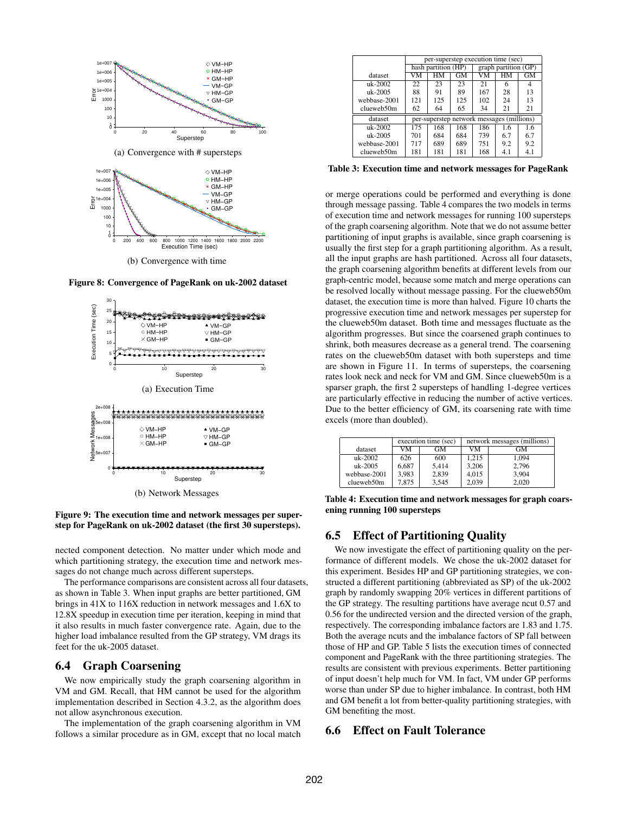

Figure 8: Convergence of PageRank on uk-2002 dataset



(b) Network Messages

Figure 9: The execution time and network messages per superstep for PageRank on uk-2002 dataset (the first 30 supersteps).

nected component detection. No matter under which mode and which partitioning strategy, the execution time and network messages do not change much across different supersteps.

The performance comparisons are consistent across all four datasets, as shown in Table 3. When input graphs are better partitioned, GM brings in 41X to 116X reduction in network messages and 1.6X to 12.8X speedup in execution time per iteration, keeping in mind that it also results in much faster convergence rate. Again, due to the higher load imbalance resulted from the GP strategy, VM drags its feet for the uk-2005 dataset.

## 6.4 Graph Coarsening

We now empirically study the graph coarsening algorithm in VM and GM. Recall, that HM cannot be used for the algorithm implementation described in Section 4.3.2, as the algorithm does not allow asynchronous execution.

The implementation of the graph coarsening algorithm in VM follows a similar procedure as in GM, except that no local match

|              | per-superstep execution time (sec) |                     |           |                                           |     |           |  |  |  |
|--------------|------------------------------------|---------------------|-----------|-------------------------------------------|-----|-----------|--|--|--|
|              |                                    | hash partition (HP) |           | graph partition (GP)                      |     |           |  |  |  |
| dataset      | VМ                                 | HМ                  | <b>GM</b> | VМ                                        | HМ  | <b>GM</b> |  |  |  |
| uk-2002      | 22                                 | 23                  | 23        | 21                                        | 6   | 4         |  |  |  |
| uk-2005      | 88                                 | 91                  | 89        | 167                                       | 28  | 13        |  |  |  |
| webbase-2001 | 121                                | 125                 | 125       | 102                                       | 24  | 13        |  |  |  |
| clueweb50m   | 62                                 | 64                  | 65        | 34                                        | 21  | 21        |  |  |  |
| dataset      |                                    |                     |           | per-superstep network messages (millions) |     |           |  |  |  |
| uk-2002      | 175                                | 168                 | 168       | 186                                       | 1.6 | 1.6       |  |  |  |
| uk-2005      | 701                                | 684                 | 684       | 739                                       | 6.7 | 6.7       |  |  |  |
| webbase-2001 | 717                                | 689                 | 689       | 751                                       | 9.2 | 9.2       |  |  |  |
| clueweb50m   | 181                                | 181                 | 181       | 168                                       | 4.1 | 4.1       |  |  |  |

Table 3: Execution time and network messages for PageRank

or merge operations could be performed and everything is done through message passing. Table 4 compares the two models in terms of execution time and network messages for running 100 supersteps of the graph coarsening algorithm. Note that we do not assume better partitioning of input graphs is available, since graph coarsening is usually the first step for a graph partitioning algorithm. As a result, all the input graphs are hash partitioned. Across all four datasets, the graph coarsening algorithm benefits at different levels from our graph-centric model, because some match and merge operations can be resolved locally without message passing. For the clueweb50m dataset, the execution time is more than halved. Figure 10 charts the progressive execution time and network messages per superstep for the clueweb50m dataset. Both time and messages fluctuate as the algorithm progresses. But since the coarsened graph continues to shrink, both measures decrease as a general trend. The coarsening rates on the clueweb50m dataset with both supersteps and time are shown in Figure 11. In terms of supersteps, the coarsening rates look neck and neck for VM and GM. Since clueweb50m is a sparser graph, the first 2 supersteps of handling 1-degree vertices are particularly effective in reducing the number of active vertices. Due to the better efficiency of GM, its coarsening rate with time excels (more than doubled).

|              |       | execution time (sec) | network messages (millions) |       |  |  |  |
|--------------|-------|----------------------|-----------------------------|-------|--|--|--|
| dataset      | VМ    | GМ                   | VМ                          | GМ    |  |  |  |
| $uk - 2002$  | 626   | 600                  | 1.215                       | 1.094 |  |  |  |
| uk-2005      | 6.687 | 5.414                | 3,206                       | 2.796 |  |  |  |
| webbase-2001 | 3.983 | 2.839                | 4.015                       | 3,904 |  |  |  |
| clueweb50m   | 7.875 | 3,545                | 2,039                       | 2.020 |  |  |  |

Table 4: Execution time and network messages for graph coarsening running 100 supersteps

## 6.5 Effect of Partitioning Quality

We now investigate the effect of partitioning quality on the performance of different models. We chose the uk-2002 dataset for this experiment. Besides HP and GP partitioning strategies, we constructed a different partitioning (abbreviated as SP) of the uk-2002 graph by randomly swapping 20% vertices in different partitions of the GP strategy. The resulting partitions have average ncut 0.57 and 0.56 for the undirected version and the directed version of the graph, respectively. The corresponding imbalance factors are 1.83 and 1.75. Both the average ncuts and the imbalance factors of SP fall between those of HP and GP. Table 5 lists the execution times of connected component and PageRank with the three partitioning strategies. The results are consistent with previous experiments. Better partitioning of input doesn't help much for VM. In fact, VM under GP performs worse than under SP due to higher imbalance. In contrast, both HM and GM benefit a lot from better-quality partitioning strategies, with GM benefiting the most.

## 6.6 Effect on Fault Tolerance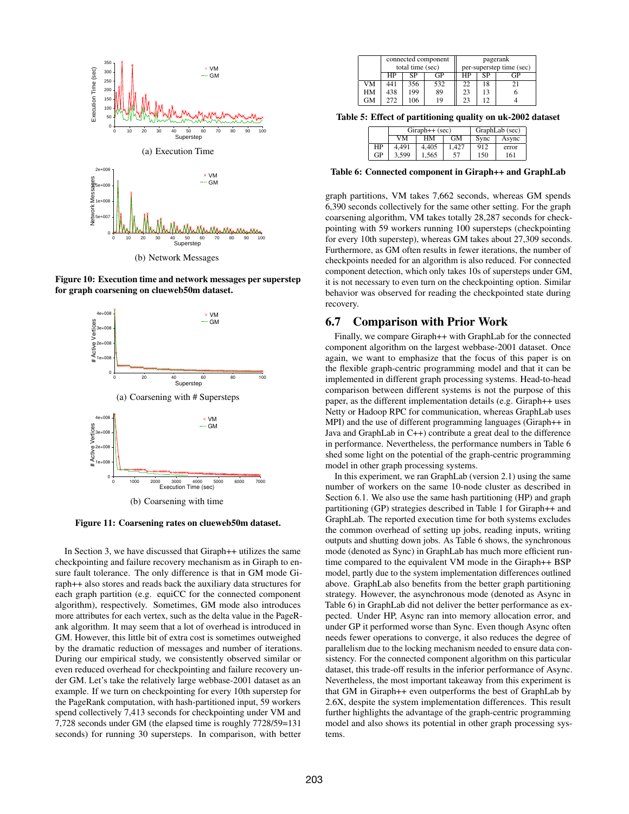

Figure 10: Execution time and network messages per superstep for graph coarsening on clueweb50m dataset.



Figure 11: Coarsening rates on clueweb50m dataset.

In Section 3, we have discussed that Giraph++ utilizes the same checkpointing and failure recovery mechanism as in Giraph to ensure fault tolerance. The only difference is that in GM mode Giraph++ also stores and reads back the auxiliary data structures for each graph partition (e.g. equiCC for the connected component algorithm), respectively. Sometimes, GM mode also introduces more attributes for each vertex, such as the delta value in the PageRank algorithm. It may seem that a lot of overhead is introduced in GM. However, this little bit of extra cost is sometimes outweighed by the dramatic reduction of messages and number of iterations. During our empirical study, we consistently observed similar or even reduced overhead for checkpointing and failure recovery under GM. Let's take the relatively large webbase-2001 dataset as an example. If we turn on checkpointing for every 10th superstep for the PageRank computation, with hash-partitioned input, 59 workers spend collectively 7,413 seconds for checkpointing under VM and 7,728 seconds under GM (the elapsed time is roughly 7728/59=131 seconds) for running 30 supersteps. In comparison, with better

|    |     | total time (sec) | connected component | pagerank<br>per-superstep time (sec) |    |    |  |  |  |
|----|-----|------------------|---------------------|--------------------------------------|----|----|--|--|--|
|    | НP  | ςp               | GP                  | HP                                   | ςF | GР |  |  |  |
| VM | 441 | 356              | 532                 | 22                                   | 18 | 21 |  |  |  |
| HМ | 438 | 199              | 89                  | 23                                   | 13 |    |  |  |  |
| GM | 272 | 106              | 19                  | 23                                   | 12 |    |  |  |  |

Table 5: Effect of partitioning quality on uk-2002 dataset

|    |       | $Giraph++ (sec)$ | GraphLab (sec) |      |       |  |  |
|----|-------|------------------|----------------|------|-------|--|--|
|    | VМ    | HМ               | GM             | Sync | Async |  |  |
| HP | 4.491 | 4.405            | 427            | 912  | error |  |  |
| GP | 3.599 | 1.565            | 57             | 150  | 161   |  |  |

Table 6: Connected component in Giraph++ and GraphLab

graph partitions, VM takes 7,662 seconds, whereas GM spends 6,390 seconds collectively for the same other setting. For the graph coarsening algorithm, VM takes totally 28,287 seconds for checkpointing with 59 workers running 100 supersteps (checkpointing for every 10th superstep), whereas GM takes about 27,309 seconds. Furthermore, as GM often results in fewer iterations, the number of checkpoints needed for an algorithm is also reduced. For connected component detection, which only takes 10s of supersteps under GM, it is not necessary to even turn on the checkpointing option. Similar behavior was observed for reading the checkpointed state during recovery.

## 6.7 Comparison with Prior Work

Finally, we compare Giraph++ with GraphLab for the connected component algorithm on the largest webbase-2001 dataset. Once again, we want to emphasize that the focus of this paper is on the flexible graph-centric programming model and that it can be implemented in different graph processing systems. Head-to-head comparison between different systems is not the purpose of this paper, as the different implementation details (e.g. Giraph++ uses Netty or Hadoop RPC for communication, whereas GraphLab uses MPI) and the use of different programming languages (Giraph++ in Java and GraphLab in C++) contribute a great deal to the difference in performance. Nevertheless, the performance numbers in Table 6 shed some light on the potential of the graph-centric programming model in other graph processing systems.

In this experiment, we ran GraphLab (version 2.1) using the same number of workers on the same 10-node cluster as described in Section 6.1. We also use the same hash partitioning (HP) and graph partitioning (GP) strategies described in Table 1 for Giraph++ and GraphLab. The reported execution time for both systems excludes the common overhead of setting up jobs, reading inputs, writing outputs and shutting down jobs. As Table 6 shows, the synchronous mode (denoted as Sync) in GraphLab has much more efficient runtime compared to the equivalent VM mode in the Giraph++ BSP model, partly due to the system implementation differences outlined above. GraphLab also benefits from the better graph partitioning strategy. However, the asynchronous mode (denoted as Async in Table 6) in GraphLab did not deliver the better performance as expected. Under HP, Async ran into memory allocation error, and under GP it performed worse than Sync. Even though Async often needs fewer operations to converge, it also reduces the degree of parallelism due to the locking mechanism needed to ensure data consistency. For the connected component algorithm on this particular dataset, this trade-off results in the inferior performance of Async. Nevertheless, the most important takeaway from this experiment is that GM in Giraph++ even outperforms the best of GraphLab by 2.6X, despite the system implementation differences. This result further highlights the advantage of the graph-centric programming model and also shows its potential in other graph processing systems.